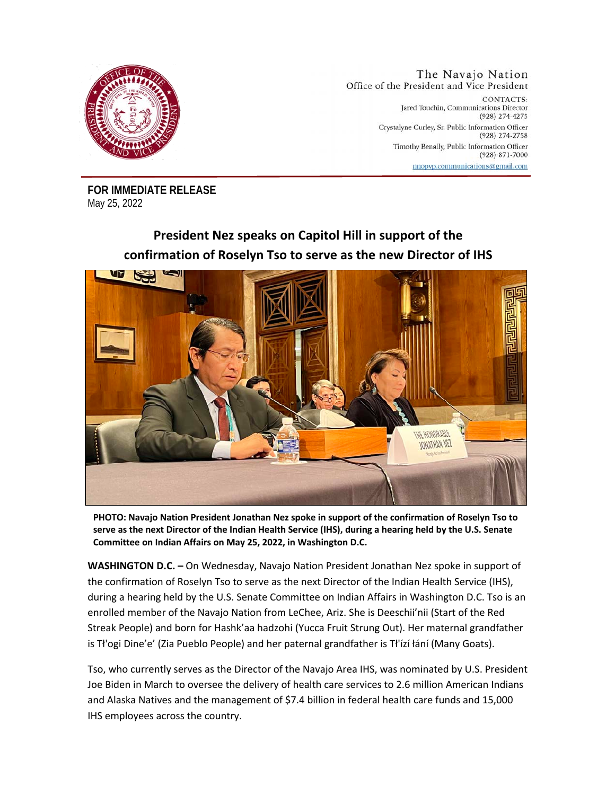

The Navajo Nation Office of the President and Vice President CONTACTS: Jared Touchin, Communications Director (928) 274-4275 Crystalyne Curley, Sr. Public Information Officer (928) 274-2758 Timothy Benally, Public Information Officer  $(928)$  871-7000 nnopvp.communications@gmail.com

**FOR IMMEDIATE RELEASE**  May 25, 2022

## **President Nez speaks on Capitol Hill in support of the confirmation of Roselyn Tso to serve as the new Director of IHS**



**PHOTO: Navajo Nation President Jonathan Nez spoke in support of the confirmation of Roselyn Tso to serve as the next Director of the Indian Health Service (IHS), during a hearing held by the U.S. Senate Committee on Indian Affairs on May 25, 2022, in Washington D.C.**

**WASHINGTON D.C. –** On Wednesday, Navajo Nation President Jonathan Nez spoke in support of the confirmation of Roselyn Tso to serve as the next Director of the Indian Health Service (IHS), during a hearing held by the U.S. Senate Committee on Indian Affairs in Washington D.C. Tso is an enrolled member of the Navajo Nation from LeChee, Ariz. She is Deeschii'nii (Start of the Red Streak People) and born for Hashk'aa hadzohi (Yucca Fruit Strung Out). Her maternal grandfather is Tł'ogi Dine'e' (Zia Pueblo People) and her paternal grandfather is Tł'ízí łání (Many Goats).

Tso, who currently serves as the Director of the Navajo Area IHS, was nominated by U.S. President Joe Biden in March to oversee the delivery of health care services to 2.6 million American Indians and Alaska Natives and the management of \$7.4 billion in federal health care funds and 15,000 IHS employees across the country.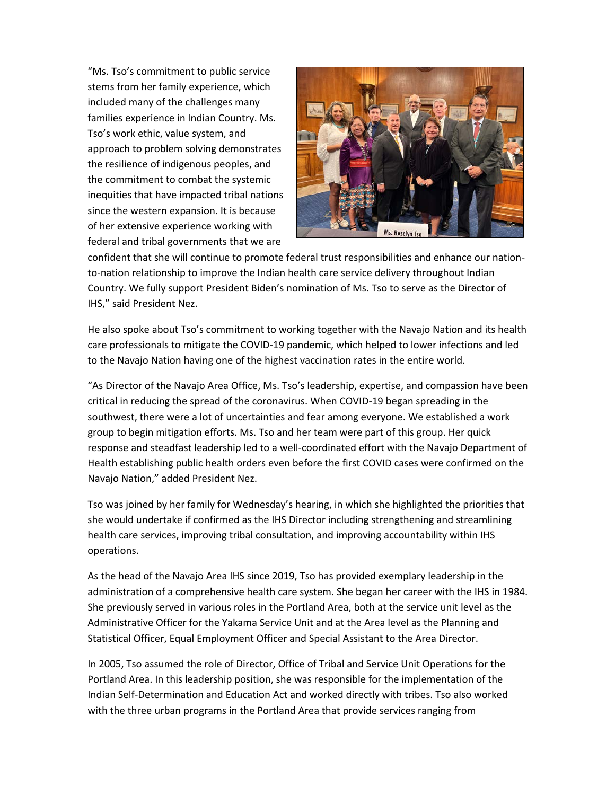"Ms. Tso's commitment to public service stems from her family experience, which included many of the challenges many families experience in Indian Country. Ms. Tso's work ethic, value system, and approach to problem solving demonstrates the resilience of indigenous peoples, and the commitment to combat the systemic inequities that have impacted tribal nations since the western expansion. It is because of her extensive experience working with federal and tribal governments that we are



confident that she will continue to promote federal trust responsibilities and enhance our nationto-nation relationship to improve the Indian health care service delivery throughout Indian Country. We fully support President Biden's nomination of Ms. Tso to serve as the Director of IHS," said President Nez.

He also spoke about Tso's commitment to working together with the Navajo Nation and its health care professionals to mitigate the COVID-19 pandemic, which helped to lower infections and led to the Navajo Nation having one of the highest vaccination rates in the entire world.

"As Director of the Navajo Area Office, Ms. Tso's leadership, expertise, and compassion have been critical in reducing the spread of the coronavirus. When COVID-19 began spreading in the southwest, there were a lot of uncertainties and fear among everyone. We established a work group to begin mitigation efforts. Ms. Tso and her team were part of this group. Her quick response and steadfast leadership led to a well-coordinated effort with the Navajo Department of Health establishing public health orders even before the first COVID cases were confirmed on the Navajo Nation," added President Nez.

Tso was joined by her family for Wednesday's hearing, in which she highlighted the priorities that she would undertake if confirmed as the IHS Director including strengthening and streamlining health care services, improving tribal consultation, and improving accountability within IHS operations.

As the head of the Navajo Area IHS since 2019, Tso has provided exemplary leadership in the administration of a comprehensive health care system. She began her career with the IHS in 1984. She previously served in various roles in the Portland Area, both at the service unit level as the Administrative Officer for the Yakama Service Unit and at the Area level as the Planning and Statistical Officer, Equal Employment Officer and Special Assistant to the Area Director.

In 2005, Tso assumed the role of Director, Office of Tribal and Service Unit Operations for the Portland Area. In this leadership position, she was responsible for the implementation of the Indian Self-Determination and Education Act and worked directly with tribes. Tso also worked with the three urban programs in the Portland Area that provide services ranging from